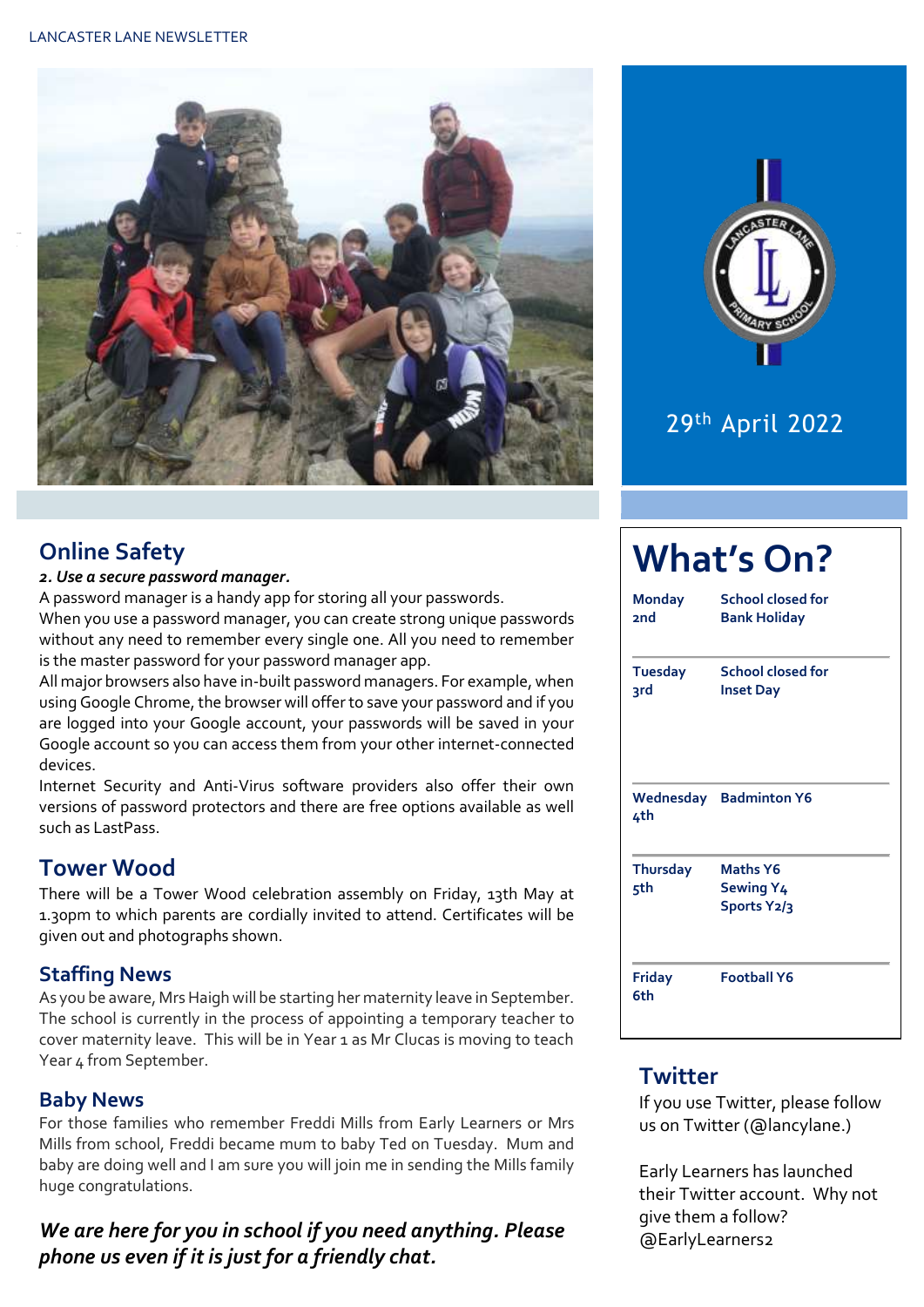#### LANCASTER LANE NEWSLETTER





## 29th April 2022

#### **Online Safety**

#### *2. Use a secure password manager.*

A password manager is a handy app for storing all your passwords.

When you use a password manager, you can create strong unique passwords without any need to remember every single one. All you need to remember is the master password for your password manager app.

All major browsers also have in-built password managers. For example, when using Google Chrome, the browser will offer to save your password and if you are logged into your Google account, your passwords will be saved in your Google account so you can access them from your other internet-connected devices.

Internet Security and Anti-Virus software providers also offer their own versions of password protectors and there are free options available as well such as LastPass.

#### **Tower Wood**

There will be a Tower Wood celebration assembly on Friday, 13th May at 1.30pm to which parents are cordially invited to attend. Certificates will be given out and photographs shown.

#### **Staffing News**

As you be aware, Mrs Haigh will be starting her maternity leave in September. The school is currently in the process of appointing a temporary teacher to cover maternity leave. This will be in Year 1 as Mr Clucas is moving to teach Year 4 from September.

#### **Baby News**

For those families who remember Freddi Mills from Early Learners or Mrs Mills from school, Freddi became mum to baby Ted on Tuesday. Mum and baby are doing well and I am sure you will join me in sending the Mills family huge congratulations.

#### *We are here for you in school if you need anything. Please phone us even if it is just for a friendly chat.*

| Monday<br>2nd          | School closed for<br><b>Bank Holiday</b>    |  |  |
|------------------------|---------------------------------------------|--|--|
| <b>Tuesday</b><br>3rd  | School closed for<br><b>Inset Day</b>       |  |  |
| 4th                    | <b>Wednesday</b> Badminton Y6               |  |  |
| <b>Thursday</b><br>5th | <b>Maths Y6</b><br>Sewing Y4<br>Sports Y2/3 |  |  |
| Friday<br>6th          | <b>Football Y6</b>                          |  |  |

#### **Twitter**

If you use Twitter, please follow us on Twitter (@lancylane.)

Early Learners has launched their Twitter account. Why not give them a follow? @EarlyLearners2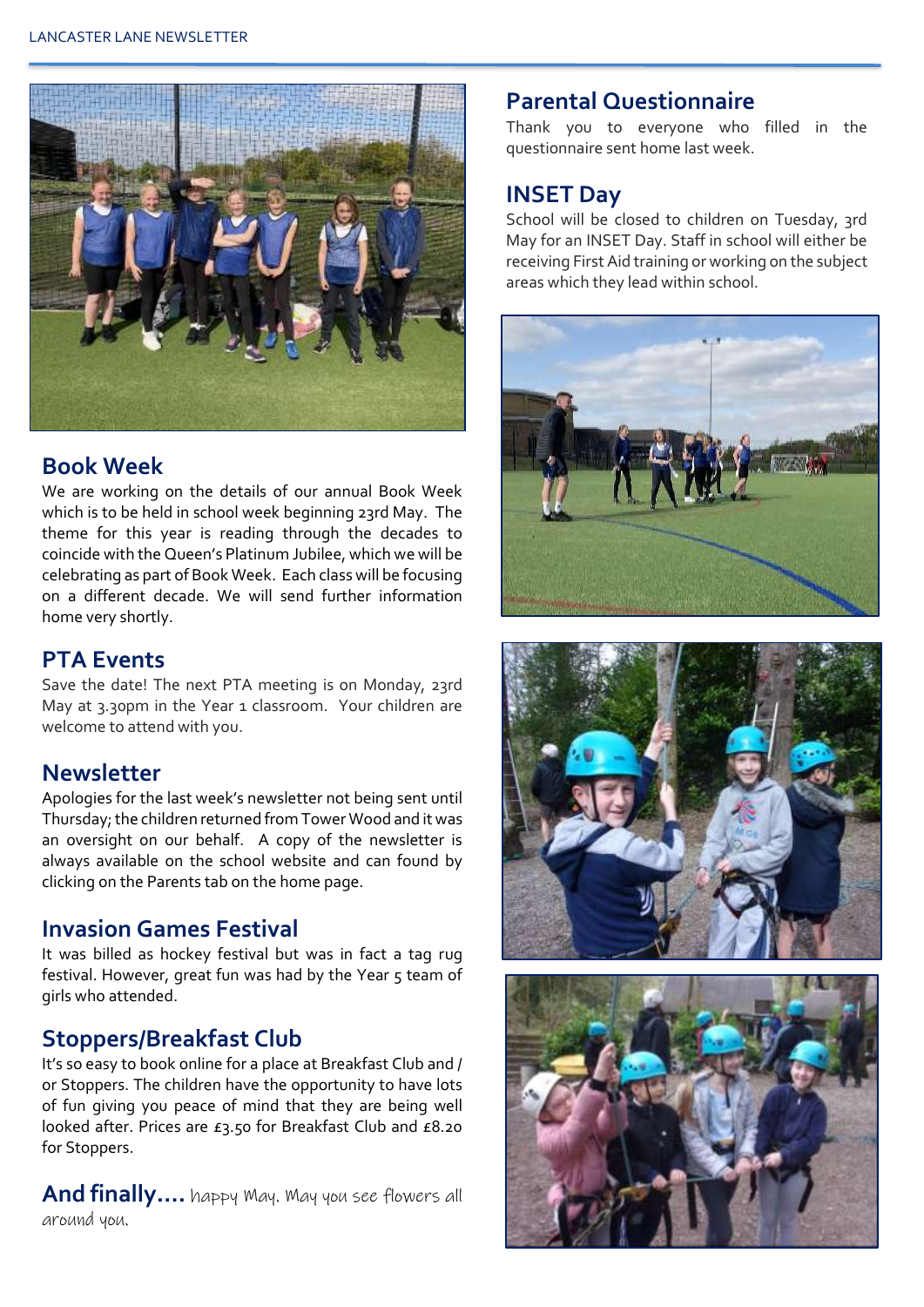

#### **Book Week**

We are working on the details of our annual Book Week which is to be held in school week beginning 23rd May. The theme for this year is reading through the decades to coincide with the Queen's Platinum Jubilee, which we will be celebrating as part of Book Week. Each class will be focusing on a different decade. We will send further information home very shortly.

#### **PTA Events**

Save the date! The next PTA meeting is on Monday, 23rd May at 3.30pm in the Year 1 classroom. Your children are welcome to attend with you.

#### **Newsletter**

Apologies for the last week's newsletter not being sent until Thursday; the children returned from Tower Wood and it was an oversight on our behalf. A copy of the newsletter is always available on the school website and can found by clicking on the Parents tab on the home page.

#### **Invasion Games Festival**

It was billed as hockey festival but was in fact a tag rug festival. However, great fun was had by the Year 5 team of girls who attended.

#### **Stoppers/Breakfast Club**

It's so easy to book online for a place at Breakfast Club and / or Stoppers. The children have the opportunity to have lots of fun giving you peace of mind that they are being well looked after. Prices are £3.50 for Breakfast Club and £8.20 for Stoppers.

**And finally….** happy May. May you see flowers all around you.

#### **Parental Questionnaire**

Thank you to everyone who filled in the questionnaire sent home last week.

#### **INSET Day**

School will be closed to children on Tuesday, 3rd May for an INSET Day. Staff in school will either be receiving First Aid training or working on the subject areas which they lead within school.